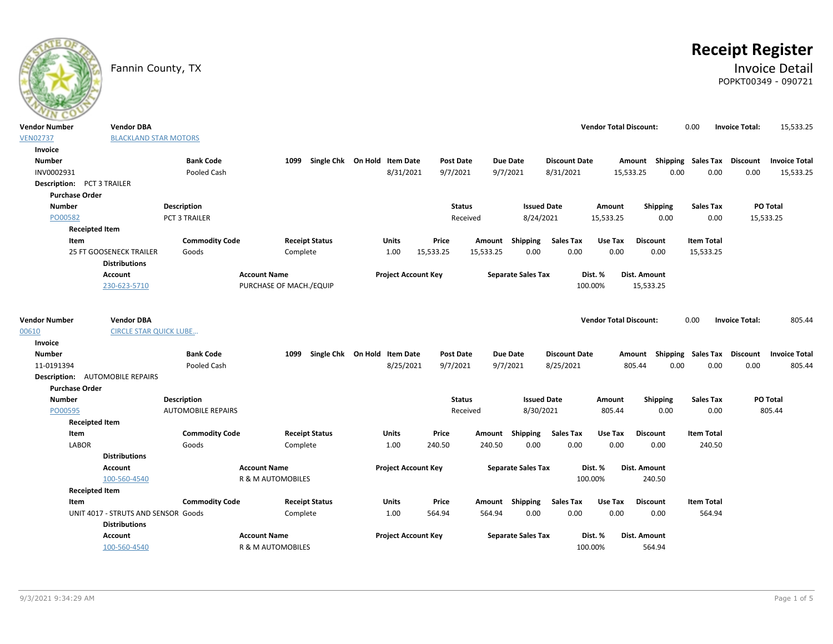

# **Receipt Register**

### Fannin County, TX **Invoice Detail** POPKT00349 - 090721

| <b>Vendor Number</b>                   | <b>Vendor DBA</b>                   |                           |                              |                                   |                            |                              |           |                           |                                   | <b>Vendor Total Discount:</b> |                           | 0.00                        | <b>Invoice Total:</b> | 15,533.25                      |
|----------------------------------------|-------------------------------------|---------------------------|------------------------------|-----------------------------------|----------------------------|------------------------------|-----------|---------------------------|-----------------------------------|-------------------------------|---------------------------|-----------------------------|-----------------------|--------------------------------|
| <b>VEN02737</b>                        | <b>BLACKLAND STAR MOTORS</b>        |                           |                              |                                   |                            |                              |           |                           |                                   |                               |                           |                             |                       |                                |
| Invoice                                |                                     |                           |                              |                                   |                            |                              |           |                           |                                   |                               |                           |                             |                       |                                |
| <b>Number</b>                          |                                     | <b>Bank Code</b>          |                              | 1099 Single Chk On Hold Item Date |                            | <b>Post Date</b>             |           | <b>Due Date</b>           | <b>Discount Date</b>              |                               | Amount Shipping Sales Tax |                             | Discount              | <b>Invoice Total</b>           |
| INV0002931                             |                                     | Pooled Cash               |                              |                                   | 8/31/2021                  | 9/7/2021                     |           | 9/7/2021                  | 8/31/2021                         |                               | 15,533.25<br>0.00         | 0.00                        | 0.00                  | 15,533.25                      |
| Description: PCT 3 TRAILER             |                                     |                           |                              |                                   |                            |                              |           |                           |                                   |                               |                           |                             |                       |                                |
| <b>Purchase Order</b>                  |                                     |                           |                              |                                   |                            |                              |           |                           |                                   |                               |                           |                             |                       |                                |
| <b>Number</b>                          |                                     | <b>Description</b>        |                              |                                   |                            | <b>Status</b>                |           |                           | <b>Issued Date</b>                | Amount                        | Shipping                  | <b>Sales Tax</b>            |                       | PO Total                       |
| PO00582                                |                                     | <b>PCT 3 TRAILER</b>      |                              |                                   |                            |                              | Received  | 8/24/2021                 |                                   | 15,533.25                     | 0.00                      | 0.00                        |                       | 15,533.25                      |
| <b>Receipted Item</b>                  |                                     |                           |                              |                                   |                            |                              |           |                           |                                   |                               |                           |                             |                       |                                |
| Item                                   |                                     | <b>Commodity Code</b>     |                              | <b>Receipt Status</b>             | Units                      | Price                        | Amount    | Shipping                  | <b>Sales Tax</b>                  | Use Tax                       | <b>Discount</b>           | <b>Item Total</b>           |                       |                                |
|                                        | 25 FT GOOSENECK TRAILER             | Goods                     | Complete                     |                                   | 1.00                       | 15,533.25                    | 15,533.25 | 0.00                      | 0.00                              | 0.00                          | 0.00                      | 15,533.25                   |                       |                                |
|                                        | <b>Distributions</b>                |                           |                              |                                   |                            |                              |           |                           |                                   |                               |                           |                             |                       |                                |
|                                        | Account                             |                           | <b>Account Name</b>          |                                   | <b>Project Account Key</b> |                              |           | <b>Separate Sales Tax</b> |                                   | Dist. %                       | Dist. Amount              |                             |                       |                                |
|                                        | 230-623-5710                        |                           | PURCHASE OF MACH./EQUIP      |                                   |                            |                              |           |                           |                                   | 100.00%                       | 15,533.25                 |                             |                       |                                |
|                                        |                                     |                           |                              |                                   |                            |                              |           |                           |                                   |                               |                           |                             |                       |                                |
| <b>Vendor Number</b>                   | <b>Vendor DBA</b>                   |                           |                              |                                   |                            |                              |           |                           |                                   | <b>Vendor Total Discount:</b> |                           | 0.00                        | <b>Invoice Total:</b> |                                |
| 00610                                  | <b>CIRCLE STAR QUICK LUBE</b>       |                           |                              |                                   |                            |                              |           |                           |                                   |                               |                           |                             |                       | 805.44                         |
|                                        |                                     |                           |                              |                                   |                            |                              |           |                           |                                   |                               |                           |                             |                       |                                |
| Invoice<br><b>Number</b>               |                                     | <b>Bank Code</b>          | 1099                         | Single Chk On Hold Item Date      |                            |                              |           | <b>Due Date</b>           |                                   |                               |                           | Shipping Sales Tax Discount |                       |                                |
| 11-0191394                             |                                     | Pooled Cash               |                              |                                   | 8/25/2021                  | <b>Post Date</b><br>9/7/2021 |           | 9/7/2021                  | <b>Discount Date</b><br>8/25/2021 |                               | Amount<br>805.44<br>0.00  | 0.00                        | 0.00                  | <b>Invoice Total</b><br>805.44 |
| <b>Description:</b> AUTOMOBILE REPAIRS |                                     |                           |                              |                                   |                            |                              |           |                           |                                   |                               |                           |                             |                       |                                |
| <b>Purchase Order</b>                  |                                     |                           |                              |                                   |                            |                              |           |                           |                                   |                               |                           |                             |                       |                                |
| <b>Number</b>                          |                                     | Description               |                              |                                   |                            | <b>Status</b>                |           | <b>Issued Date</b>        |                                   | Amount                        | Shipping                  | <b>Sales Tax</b>            |                       | PO Total                       |
| PO00595                                |                                     | <b>AUTOMOBILE REPAIRS</b> |                              |                                   |                            |                              | Received  | 8/30/2021                 |                                   | 805.44                        | 0.00                      | 0.00                        |                       | 805.44                         |
| <b>Receipted Item</b>                  |                                     |                           |                              |                                   |                            |                              |           |                           |                                   |                               |                           |                             |                       |                                |
| Item                                   |                                     | <b>Commodity Code</b>     |                              | <b>Receipt Status</b>             | Units                      | Price                        | Amount    | Shipping                  | <b>Sales Tax</b>                  | Use Tax                       | <b>Discount</b>           | <b>Item Total</b>           |                       |                                |
| LABOR                                  |                                     | Goods                     | Complete                     |                                   | 1.00                       | 240.50                       | 240.50    | 0.00                      | 0.00                              | 0.00                          | 0.00                      | 240.50                      |                       |                                |
|                                        | <b>Distributions</b>                |                           |                              |                                   |                            |                              |           |                           |                                   |                               |                           |                             |                       |                                |
|                                        | <b>Account</b>                      |                           | <b>Account Name</b>          |                                   | <b>Project Account Key</b> |                              |           | <b>Separate Sales Tax</b> |                                   | Dist. %                       | Dist. Amount              |                             |                       |                                |
|                                        | 100-560-4540                        |                           | R & M AUTOMOBILES            |                                   |                            |                              |           |                           |                                   | 100.00%                       | 240.50                    |                             |                       |                                |
| <b>Receipted Item</b>                  |                                     |                           |                              |                                   |                            |                              |           |                           |                                   |                               |                           |                             |                       |                                |
| Item                                   |                                     | <b>Commodity Code</b>     |                              | <b>Receipt Status</b>             | Units                      | Price                        |           | Amount Shipping           | <b>Sales Tax</b>                  | Use Tax                       | <b>Discount</b>           | <b>Item Total</b>           |                       |                                |
|                                        | UNIT 4017 - STRUTS AND SENSOR Goods |                           | Complete                     |                                   | 1.00                       | 564.94                       | 564.94    | 0.00                      | 0.00                              | 0.00                          | 0.00                      | 564.94                      |                       |                                |
|                                        | <b>Distributions</b>                |                           |                              |                                   |                            |                              |           |                           |                                   |                               |                           |                             |                       |                                |
|                                        | Account                             |                           | <b>Account Name</b>          |                                   | <b>Project Account Key</b> |                              |           | <b>Separate Sales Tax</b> |                                   | Dist. %                       | Dist. Amount              |                             |                       |                                |
|                                        | 100-560-4540                        |                           | <b>R &amp; M AUTOMOBILES</b> |                                   |                            |                              |           |                           |                                   | 100.00%                       | 564.94                    |                             |                       |                                |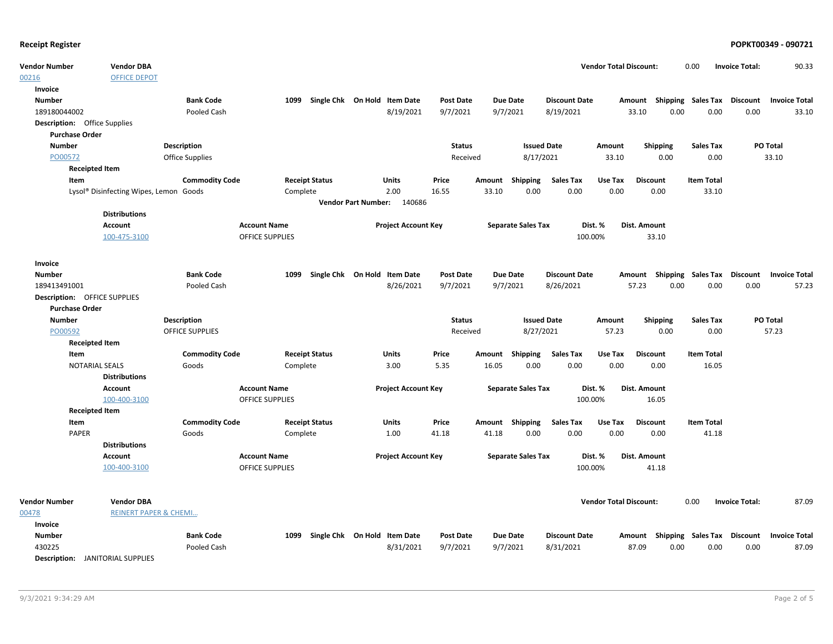| <b>Vendor Number</b>                    | <b>Vendor DBA</b>                      |                        |                        |                              |                            |                  |        |                           |                      | <b>Vendor Total Discount:</b> |                                    | 0.00                        | <b>Invoice Total:</b> | 90.33                |
|-----------------------------------------|----------------------------------------|------------------------|------------------------|------------------------------|----------------------------|------------------|--------|---------------------------|----------------------|-------------------------------|------------------------------------|-----------------------------|-----------------------|----------------------|
| 00216                                   | <b>OFFICE DEPOT</b>                    |                        |                        |                              |                            |                  |        |                           |                      |                               |                                    |                             |                       |                      |
| Invoice                                 |                                        |                        |                        |                              |                            |                  |        |                           |                      |                               |                                    |                             |                       |                      |
| <b>Number</b>                           |                                        | <b>Bank Code</b>       | 1099                   | Single Chk On Hold Item Date |                            | <b>Post Date</b> |        | <b>Due Date</b>           | <b>Discount Date</b> |                               | Amount Shipping Sales Tax Discount |                             |                       | <b>Invoice Total</b> |
| 189180044002                            |                                        | Pooled Cash            |                        |                              | 8/19/2021                  | 9/7/2021         |        | 9/7/2021                  | 8/19/2021            |                               | 0.00<br>33.10                      | 0.00                        | 0.00                  | 33.10                |
| <b>Description:</b> Office Supplies     |                                        |                        |                        |                              |                            |                  |        |                           |                      |                               |                                    |                             |                       |                      |
| <b>Purchase Order</b>                   |                                        |                        |                        |                              |                            |                  |        |                           |                      |                               |                                    |                             |                       |                      |
| <b>Number</b>                           |                                        | <b>Description</b>     |                        |                              |                            | <b>Status</b>    |        | <b>Issued Date</b>        |                      | <b>Amount</b>                 | <b>Shipping</b>                    | <b>Sales Tax</b>            |                       | PO Total             |
| PO00572                                 |                                        | <b>Office Supplies</b> |                        |                              |                            | Received         |        | 8/17/2021                 |                      | 33.10                         | 0.00                               | 0.00                        |                       | 33.10                |
| <b>Receipted Item</b>                   |                                        |                        |                        |                              |                            |                  |        |                           |                      |                               |                                    |                             |                       |                      |
| Item                                    |                                        | <b>Commodity Code</b>  |                        | <b>Receipt Status</b>        | <b>Units</b>               | Price            | Amount | Shipping                  | <b>Sales Tax</b>     | Use Tax                       | <b>Discount</b>                    | <b>Item Total</b>           |                       |                      |
|                                         | Lysol® Disinfecting Wipes, Lemon Goods |                        | Complete               |                              | 2.00                       | 16.55            | 33.10  | 0.00                      | 0.00                 | 0.00                          | 0.00                               | 33.10                       |                       |                      |
|                                         |                                        |                        |                        |                              | Vendor Part Number: 140686 |                  |        |                           |                      |                               |                                    |                             |                       |                      |
|                                         | <b>Distributions</b>                   |                        |                        |                              |                            |                  |        |                           |                      |                               |                                    |                             |                       |                      |
|                                         | <b>Account</b>                         |                        | <b>Account Name</b>    |                              | <b>Project Account Key</b> |                  |        | <b>Separate Sales Tax</b> |                      | Dist. %                       | Dist. Amount                       |                             |                       |                      |
|                                         | 100-475-3100                           |                        | <b>OFFICE SUPPLIES</b> |                              |                            |                  |        |                           | 100.00%              |                               | 33.10                              |                             |                       |                      |
| Invoice                                 |                                        |                        |                        |                              |                            |                  |        |                           |                      |                               |                                    |                             |                       |                      |
| <b>Number</b>                           |                                        | <b>Bank Code</b>       | 1099                   | Single Chk On Hold Item Date |                            | <b>Post Date</b> |        | <b>Due Date</b>           | <b>Discount Date</b> |                               | Amount                             | Shipping Sales Tax Discount |                       | <b>Invoice Total</b> |
| 189413491001                            |                                        | Pooled Cash            |                        |                              | 8/26/2021                  | 9/7/2021         |        | 9/7/2021                  | 8/26/2021            |                               | 57.23<br>0.00                      | 0.00                        | 0.00                  | 57.23                |
| Description: OFFICE SUPPLIES            |                                        |                        |                        |                              |                            |                  |        |                           |                      |                               |                                    |                             |                       |                      |
| <b>Purchase Order</b>                   |                                        |                        |                        |                              |                            |                  |        |                           |                      |                               |                                    |                             |                       |                      |
| <b>Number</b>                           |                                        | <b>Description</b>     |                        |                              |                            | <b>Status</b>    |        | <b>Issued Date</b>        |                      | Amount                        | Shipping                           | <b>Sales Tax</b>            |                       | PO Total             |
| PO00592                                 |                                        | <b>OFFICE SUPPLIES</b> |                        |                              |                            | Received         |        | 8/27/2021                 |                      | 57.23                         | 0.00                               | 0.00                        |                       | 57.23                |
| <b>Receipted Item</b>                   |                                        |                        |                        |                              |                            |                  |        |                           |                      |                               |                                    |                             |                       |                      |
| Item                                    |                                        | <b>Commodity Code</b>  |                        | <b>Receipt Status</b>        | Units                      | Price            | Amount | <b>Shipping</b>           | <b>Sales Tax</b>     | Use Tax                       | <b>Discount</b>                    | <b>Item Total</b>           |                       |                      |
| <b>NOTARIAL SEALS</b>                   |                                        | Goods                  | Complete               |                              | 3.00                       | 5.35             | 16.05  | 0.00                      | 0.00                 | 0.00                          | 0.00                               | 16.05                       |                       |                      |
|                                         | <b>Distributions</b>                   |                        |                        |                              |                            |                  |        |                           |                      |                               |                                    |                             |                       |                      |
|                                         | <b>Account</b>                         |                        | <b>Account Name</b>    |                              | <b>Project Account Key</b> |                  |        | <b>Separate Sales Tax</b> |                      | Dist. %                       | Dist. Amount                       |                             |                       |                      |
|                                         | 100-400-3100                           |                        | <b>OFFICE SUPPLIES</b> |                              |                            |                  |        |                           | 100.00%              |                               | 16.05                              |                             |                       |                      |
| <b>Receipted Item</b>                   |                                        |                        |                        |                              |                            |                  |        |                           |                      |                               |                                    |                             |                       |                      |
| Item                                    |                                        | <b>Commodity Code</b>  |                        | <b>Receipt Status</b>        | Units                      | Price            | Amount | Shipping                  | <b>Sales Tax</b>     | Use Tax                       | <b>Discount</b>                    | <b>Item Total</b>           |                       |                      |
| <b>PAPER</b>                            |                                        | Goods                  | Complete               |                              | 1.00                       | 41.18            | 41.18  | 0.00                      | 0.00                 | 0.00                          | 0.00                               | 41.18                       |                       |                      |
|                                         | <b>Distributions</b>                   |                        |                        |                              |                            |                  |        |                           |                      |                               |                                    |                             |                       |                      |
|                                         | Account                                |                        | <b>Account Name</b>    |                              | <b>Project Account Key</b> |                  |        | <b>Separate Sales Tax</b> |                      | Dist. %                       | Dist. Amount                       |                             |                       |                      |
|                                         | 100-400-3100                           |                        | <b>OFFICE SUPPLIES</b> |                              |                            |                  |        |                           | 100.00%              |                               | 41.18                              |                             |                       |                      |
|                                         |                                        |                        |                        |                              |                            |                  |        |                           |                      |                               |                                    |                             |                       |                      |
| <b>Vendor Number</b>                    | <b>Vendor DBA</b>                      |                        |                        |                              |                            |                  |        |                           |                      | <b>Vendor Total Discount:</b> |                                    | 0.00                        | <b>Invoice Total:</b> | 87.09                |
| 00478<br>Invoice                        | <b>REINERT PAPER &amp; CHEMI</b>       |                        |                        |                              |                            |                  |        |                           |                      |                               |                                    |                             |                       |                      |
| <b>Number</b>                           |                                        | <b>Bank Code</b>       | 1099                   | Single Chk On Hold Item Date |                            | <b>Post Date</b> |        | <b>Due Date</b>           | <b>Discount Date</b> |                               | Amount Shipping Sales Tax Discount |                             |                       | <b>Invoice Total</b> |
| 430225                                  |                                        | Pooled Cash            |                        |                              | 8/31/2021                  | 9/7/2021         |        | 9/7/2021                  | 8/31/2021            |                               | 0.00<br>87.09                      | 0.00                        | 0.00                  | 87.09                |
| <b>Description:</b> JANITORIAL SUPPLIES |                                        |                        |                        |                              |                            |                  |        |                           |                      |                               |                                    |                             |                       |                      |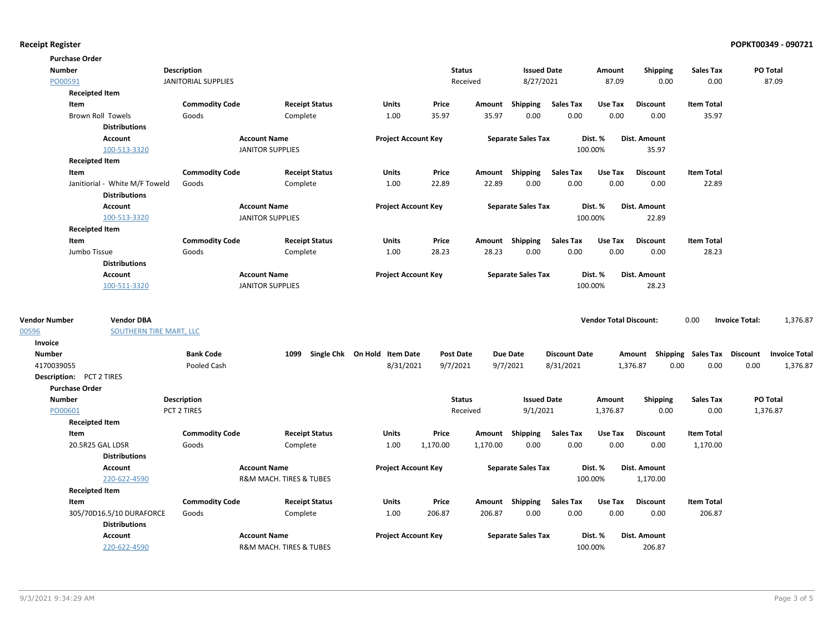| PO Total<br><b>Number</b><br>Description<br><b>Status</b><br><b>Issued Date</b><br><b>Shipping</b><br><b>Sales Tax</b><br>Amount<br>PO00591<br><b>JANITORIAL SUPPLIES</b><br>8/27/2021<br>87.09<br>87.09<br>Received<br>0.00<br>0.00<br><b>Receipted Item</b><br>Item<br><b>Commodity Code</b><br><b>Receipt Status</b><br>Units<br>Price<br>Amount Shipping<br><b>Sales Tax</b><br>Use Tax<br><b>Discount</b><br><b>Item Total</b><br>0.00<br>0.00<br>Goods<br>Complete<br>1.00<br>35.97<br>35.97<br>0.00<br>0.00<br>35.97<br><b>Brown Roll Towels</b><br><b>Distributions</b><br>Account<br><b>Account Name</b><br><b>Project Account Key</b><br><b>Separate Sales Tax</b><br>Dist. %<br>Dist. Amount<br><b>JANITOR SUPPLIES</b><br>100.00%<br>35.97<br>100-513-3320<br><b>Receipted Item</b><br><b>Commodity Code</b><br><b>Sales Tax</b><br>Use Tax<br>Item<br><b>Receipt Status</b><br><b>Units</b><br>Price<br>Amount Shipping<br><b>Discount</b><br><b>Item Total</b><br>0.00<br>0.00<br>0.00<br>Janitiorial - White M/F Toweld<br>Complete<br>1.00<br>22.89<br>22.89<br>0.00<br>22.89<br>Goods<br><b>Distributions</b><br><b>Account</b><br><b>Account Name</b><br><b>Project Account Key</b><br><b>Separate Sales Tax</b><br>Dist. %<br>Dist. Amount<br>100-513-3320<br><b>JANITOR SUPPLIES</b><br>100.00%<br>22.89<br><b>Receipted Item</b><br><b>Commodity Code</b><br>Use Tax<br><b>Item Total</b><br>Item<br><b>Receipt Status</b><br>Units<br>Price<br>Amount Shipping<br>Sales Tax<br><b>Discount</b><br>28.23<br>0.00<br>0.00<br>0.00<br>0.00<br>28.23<br>Jumbo Tissue<br>Goods<br>1.00<br>28.23<br>Complete<br><b>Distributions</b><br><b>Account Name</b><br>Dist. %<br>Dist. Amount<br>Account<br><b>Project Account Key</b><br><b>Separate Sales Tax</b><br>28.23<br>100-511-3320<br><b>JANITOR SUPPLIES</b><br>100.00%<br><b>Vendor Number</b><br><b>Vendor DBA</b><br>0.00<br>1,376.87<br><b>Vendor Total Discount:</b><br><b>Invoice Total:</b><br>00596<br>SOUTHERN TIRE MART, LLC<br>Invoice<br><b>Number</b><br><b>Bank Code</b><br>1099 Single Chk On Hold Item Date<br><b>Due Date</b><br><b>Discount Date</b><br>Amount Shipping Sales Tax Discount<br>Post Date<br><b>Invoice Total</b><br>8/31/2021<br>8/31/2021<br>0.00<br>0.00<br>4170039055<br>Pooled Cash<br>9/7/2021<br>9/7/2021<br>1,376.87<br>0.00<br>1,376.87<br><b>Description:</b> PCT 2 TIRES<br><b>Purchase Order</b><br><b>Number</b><br><b>Description</b><br><b>Status</b><br><b>Issued Date</b><br><b>Sales Tax</b><br>PO Total<br>Amount<br><b>Shipping</b><br>PO00601<br>PCT 2 TIRES<br>9/1/2021<br>1,376.87<br>0.00<br>0.00<br>1,376.87<br>Received<br><b>Receipted Item</b><br>Item<br><b>Commodity Code</b><br><b>Receipt Status</b><br>Units<br>Price<br>Amount Shipping<br>Sales Tax<br>Use Tax<br><b>Discount</b><br><b>Item Total</b><br>20.5R25 GAL LDSR<br>0.00<br>0.00<br>0.00<br>0.00<br>Goods<br>Complete<br>1.00<br>1,170.00<br>1,170.00<br>1,170.00<br><b>Distributions</b><br>Account<br><b>Account Name</b><br><b>Project Account Key</b><br><b>Separate Sales Tax</b><br>Dist. %<br><b>Dist. Amount</b><br>220-622-4590<br>100.00%<br>R&M MACH. TIRES & TUBES<br>1,170.00<br><b>Receipted Item</b><br><b>Commodity Code</b><br><b>Sales Tax</b><br>Item<br><b>Receipt Status</b><br>Units<br>Price<br>Amount Shipping<br>Use Tax<br><b>Discount</b><br><b>Item Total</b><br>0.00<br>0.00<br>0.00<br>206.87<br>305/70D16.5/10 DURAFORCE<br>Goods<br>Complete<br>1.00<br>206.87<br>206.87<br>0.00<br><b>Distributions</b><br><b>Account Name</b><br><b>Project Account Key</b><br>Dist. Amount<br>Account<br><b>Separate Sales Tax</b><br>Dist. % | <b>Purchase Order</b> |  |  |  |  |  |  |  |
|-------------------------------------------------------------------------------------------------------------------------------------------------------------------------------------------------------------------------------------------------------------------------------------------------------------------------------------------------------------------------------------------------------------------------------------------------------------------------------------------------------------------------------------------------------------------------------------------------------------------------------------------------------------------------------------------------------------------------------------------------------------------------------------------------------------------------------------------------------------------------------------------------------------------------------------------------------------------------------------------------------------------------------------------------------------------------------------------------------------------------------------------------------------------------------------------------------------------------------------------------------------------------------------------------------------------------------------------------------------------------------------------------------------------------------------------------------------------------------------------------------------------------------------------------------------------------------------------------------------------------------------------------------------------------------------------------------------------------------------------------------------------------------------------------------------------------------------------------------------------------------------------------------------------------------------------------------------------------------------------------------------------------------------------------------------------------------------------------------------------------------------------------------------------------------------------------------------------------------------------------------------------------------------------------------------------------------------------------------------------------------------------------------------------------------------------------------------------------------------------------------------------------------------------------------------------------------------------------------------------------------------------------------------------------------------------------------------------------------------------------------------------------------------------------------------------------------------------------------------------------------------------------------------------------------------------------------------------------------------------------------------------------------------------------------------------------------------------------------------------------------------------------------------------------------------------------------------------------------------------------------------------------------------------------------------------------------------------------------------------------------------------------------------------------------------------------------------------------------------------------------------------------------------------------------------------------------------------------------------------------------------------------------------------|-----------------------|--|--|--|--|--|--|--|
|                                                                                                                                                                                                                                                                                                                                                                                                                                                                                                                                                                                                                                                                                                                                                                                                                                                                                                                                                                                                                                                                                                                                                                                                                                                                                                                                                                                                                                                                                                                                                                                                                                                                                                                                                                                                                                                                                                                                                                                                                                                                                                                                                                                                                                                                                                                                                                                                                                                                                                                                                                                                                                                                                                                                                                                                                                                                                                                                                                                                                                                                                                                                                                                                                                                                                                                                                                                                                                                                                                                                                                                                                                                                   |                       |  |  |  |  |  |  |  |
|                                                                                                                                                                                                                                                                                                                                                                                                                                                                                                                                                                                                                                                                                                                                                                                                                                                                                                                                                                                                                                                                                                                                                                                                                                                                                                                                                                                                                                                                                                                                                                                                                                                                                                                                                                                                                                                                                                                                                                                                                                                                                                                                                                                                                                                                                                                                                                                                                                                                                                                                                                                                                                                                                                                                                                                                                                                                                                                                                                                                                                                                                                                                                                                                                                                                                                                                                                                                                                                                                                                                                                                                                                                                   |                       |  |  |  |  |  |  |  |
|                                                                                                                                                                                                                                                                                                                                                                                                                                                                                                                                                                                                                                                                                                                                                                                                                                                                                                                                                                                                                                                                                                                                                                                                                                                                                                                                                                                                                                                                                                                                                                                                                                                                                                                                                                                                                                                                                                                                                                                                                                                                                                                                                                                                                                                                                                                                                                                                                                                                                                                                                                                                                                                                                                                                                                                                                                                                                                                                                                                                                                                                                                                                                                                                                                                                                                                                                                                                                                                                                                                                                                                                                                                                   |                       |  |  |  |  |  |  |  |
|                                                                                                                                                                                                                                                                                                                                                                                                                                                                                                                                                                                                                                                                                                                                                                                                                                                                                                                                                                                                                                                                                                                                                                                                                                                                                                                                                                                                                                                                                                                                                                                                                                                                                                                                                                                                                                                                                                                                                                                                                                                                                                                                                                                                                                                                                                                                                                                                                                                                                                                                                                                                                                                                                                                                                                                                                                                                                                                                                                                                                                                                                                                                                                                                                                                                                                                                                                                                                                                                                                                                                                                                                                                                   |                       |  |  |  |  |  |  |  |
|                                                                                                                                                                                                                                                                                                                                                                                                                                                                                                                                                                                                                                                                                                                                                                                                                                                                                                                                                                                                                                                                                                                                                                                                                                                                                                                                                                                                                                                                                                                                                                                                                                                                                                                                                                                                                                                                                                                                                                                                                                                                                                                                                                                                                                                                                                                                                                                                                                                                                                                                                                                                                                                                                                                                                                                                                                                                                                                                                                                                                                                                                                                                                                                                                                                                                                                                                                                                                                                                                                                                                                                                                                                                   |                       |  |  |  |  |  |  |  |
|                                                                                                                                                                                                                                                                                                                                                                                                                                                                                                                                                                                                                                                                                                                                                                                                                                                                                                                                                                                                                                                                                                                                                                                                                                                                                                                                                                                                                                                                                                                                                                                                                                                                                                                                                                                                                                                                                                                                                                                                                                                                                                                                                                                                                                                                                                                                                                                                                                                                                                                                                                                                                                                                                                                                                                                                                                                                                                                                                                                                                                                                                                                                                                                                                                                                                                                                                                                                                                                                                                                                                                                                                                                                   |                       |  |  |  |  |  |  |  |
|                                                                                                                                                                                                                                                                                                                                                                                                                                                                                                                                                                                                                                                                                                                                                                                                                                                                                                                                                                                                                                                                                                                                                                                                                                                                                                                                                                                                                                                                                                                                                                                                                                                                                                                                                                                                                                                                                                                                                                                                                                                                                                                                                                                                                                                                                                                                                                                                                                                                                                                                                                                                                                                                                                                                                                                                                                                                                                                                                                                                                                                                                                                                                                                                                                                                                                                                                                                                                                                                                                                                                                                                                                                                   |                       |  |  |  |  |  |  |  |
|                                                                                                                                                                                                                                                                                                                                                                                                                                                                                                                                                                                                                                                                                                                                                                                                                                                                                                                                                                                                                                                                                                                                                                                                                                                                                                                                                                                                                                                                                                                                                                                                                                                                                                                                                                                                                                                                                                                                                                                                                                                                                                                                                                                                                                                                                                                                                                                                                                                                                                                                                                                                                                                                                                                                                                                                                                                                                                                                                                                                                                                                                                                                                                                                                                                                                                                                                                                                                                                                                                                                                                                                                                                                   |                       |  |  |  |  |  |  |  |
|                                                                                                                                                                                                                                                                                                                                                                                                                                                                                                                                                                                                                                                                                                                                                                                                                                                                                                                                                                                                                                                                                                                                                                                                                                                                                                                                                                                                                                                                                                                                                                                                                                                                                                                                                                                                                                                                                                                                                                                                                                                                                                                                                                                                                                                                                                                                                                                                                                                                                                                                                                                                                                                                                                                                                                                                                                                                                                                                                                                                                                                                                                                                                                                                                                                                                                                                                                                                                                                                                                                                                                                                                                                                   |                       |  |  |  |  |  |  |  |
|                                                                                                                                                                                                                                                                                                                                                                                                                                                                                                                                                                                                                                                                                                                                                                                                                                                                                                                                                                                                                                                                                                                                                                                                                                                                                                                                                                                                                                                                                                                                                                                                                                                                                                                                                                                                                                                                                                                                                                                                                                                                                                                                                                                                                                                                                                                                                                                                                                                                                                                                                                                                                                                                                                                                                                                                                                                                                                                                                                                                                                                                                                                                                                                                                                                                                                                                                                                                                                                                                                                                                                                                                                                                   |                       |  |  |  |  |  |  |  |
|                                                                                                                                                                                                                                                                                                                                                                                                                                                                                                                                                                                                                                                                                                                                                                                                                                                                                                                                                                                                                                                                                                                                                                                                                                                                                                                                                                                                                                                                                                                                                                                                                                                                                                                                                                                                                                                                                                                                                                                                                                                                                                                                                                                                                                                                                                                                                                                                                                                                                                                                                                                                                                                                                                                                                                                                                                                                                                                                                                                                                                                                                                                                                                                                                                                                                                                                                                                                                                                                                                                                                                                                                                                                   |                       |  |  |  |  |  |  |  |
|                                                                                                                                                                                                                                                                                                                                                                                                                                                                                                                                                                                                                                                                                                                                                                                                                                                                                                                                                                                                                                                                                                                                                                                                                                                                                                                                                                                                                                                                                                                                                                                                                                                                                                                                                                                                                                                                                                                                                                                                                                                                                                                                                                                                                                                                                                                                                                                                                                                                                                                                                                                                                                                                                                                                                                                                                                                                                                                                                                                                                                                                                                                                                                                                                                                                                                                                                                                                                                                                                                                                                                                                                                                                   |                       |  |  |  |  |  |  |  |
|                                                                                                                                                                                                                                                                                                                                                                                                                                                                                                                                                                                                                                                                                                                                                                                                                                                                                                                                                                                                                                                                                                                                                                                                                                                                                                                                                                                                                                                                                                                                                                                                                                                                                                                                                                                                                                                                                                                                                                                                                                                                                                                                                                                                                                                                                                                                                                                                                                                                                                                                                                                                                                                                                                                                                                                                                                                                                                                                                                                                                                                                                                                                                                                                                                                                                                                                                                                                                                                                                                                                                                                                                                                                   |                       |  |  |  |  |  |  |  |
|                                                                                                                                                                                                                                                                                                                                                                                                                                                                                                                                                                                                                                                                                                                                                                                                                                                                                                                                                                                                                                                                                                                                                                                                                                                                                                                                                                                                                                                                                                                                                                                                                                                                                                                                                                                                                                                                                                                                                                                                                                                                                                                                                                                                                                                                                                                                                                                                                                                                                                                                                                                                                                                                                                                                                                                                                                                                                                                                                                                                                                                                                                                                                                                                                                                                                                                                                                                                                                                                                                                                                                                                                                                                   |                       |  |  |  |  |  |  |  |
|                                                                                                                                                                                                                                                                                                                                                                                                                                                                                                                                                                                                                                                                                                                                                                                                                                                                                                                                                                                                                                                                                                                                                                                                                                                                                                                                                                                                                                                                                                                                                                                                                                                                                                                                                                                                                                                                                                                                                                                                                                                                                                                                                                                                                                                                                                                                                                                                                                                                                                                                                                                                                                                                                                                                                                                                                                                                                                                                                                                                                                                                                                                                                                                                                                                                                                                                                                                                                                                                                                                                                                                                                                                                   |                       |  |  |  |  |  |  |  |
|                                                                                                                                                                                                                                                                                                                                                                                                                                                                                                                                                                                                                                                                                                                                                                                                                                                                                                                                                                                                                                                                                                                                                                                                                                                                                                                                                                                                                                                                                                                                                                                                                                                                                                                                                                                                                                                                                                                                                                                                                                                                                                                                                                                                                                                                                                                                                                                                                                                                                                                                                                                                                                                                                                                                                                                                                                                                                                                                                                                                                                                                                                                                                                                                                                                                                                                                                                                                                                                                                                                                                                                                                                                                   |                       |  |  |  |  |  |  |  |
|                                                                                                                                                                                                                                                                                                                                                                                                                                                                                                                                                                                                                                                                                                                                                                                                                                                                                                                                                                                                                                                                                                                                                                                                                                                                                                                                                                                                                                                                                                                                                                                                                                                                                                                                                                                                                                                                                                                                                                                                                                                                                                                                                                                                                                                                                                                                                                                                                                                                                                                                                                                                                                                                                                                                                                                                                                                                                                                                                                                                                                                                                                                                                                                                                                                                                                                                                                                                                                                                                                                                                                                                                                                                   |                       |  |  |  |  |  |  |  |
|                                                                                                                                                                                                                                                                                                                                                                                                                                                                                                                                                                                                                                                                                                                                                                                                                                                                                                                                                                                                                                                                                                                                                                                                                                                                                                                                                                                                                                                                                                                                                                                                                                                                                                                                                                                                                                                                                                                                                                                                                                                                                                                                                                                                                                                                                                                                                                                                                                                                                                                                                                                                                                                                                                                                                                                                                                                                                                                                                                                                                                                                                                                                                                                                                                                                                                                                                                                                                                                                                                                                                                                                                                                                   |                       |  |  |  |  |  |  |  |
|                                                                                                                                                                                                                                                                                                                                                                                                                                                                                                                                                                                                                                                                                                                                                                                                                                                                                                                                                                                                                                                                                                                                                                                                                                                                                                                                                                                                                                                                                                                                                                                                                                                                                                                                                                                                                                                                                                                                                                                                                                                                                                                                                                                                                                                                                                                                                                                                                                                                                                                                                                                                                                                                                                                                                                                                                                                                                                                                                                                                                                                                                                                                                                                                                                                                                                                                                                                                                                                                                                                                                                                                                                                                   |                       |  |  |  |  |  |  |  |
|                                                                                                                                                                                                                                                                                                                                                                                                                                                                                                                                                                                                                                                                                                                                                                                                                                                                                                                                                                                                                                                                                                                                                                                                                                                                                                                                                                                                                                                                                                                                                                                                                                                                                                                                                                                                                                                                                                                                                                                                                                                                                                                                                                                                                                                                                                                                                                                                                                                                                                                                                                                                                                                                                                                                                                                                                                                                                                                                                                                                                                                                                                                                                                                                                                                                                                                                                                                                                                                                                                                                                                                                                                                                   |                       |  |  |  |  |  |  |  |
|                                                                                                                                                                                                                                                                                                                                                                                                                                                                                                                                                                                                                                                                                                                                                                                                                                                                                                                                                                                                                                                                                                                                                                                                                                                                                                                                                                                                                                                                                                                                                                                                                                                                                                                                                                                                                                                                                                                                                                                                                                                                                                                                                                                                                                                                                                                                                                                                                                                                                                                                                                                                                                                                                                                                                                                                                                                                                                                                                                                                                                                                                                                                                                                                                                                                                                                                                                                                                                                                                                                                                                                                                                                                   |                       |  |  |  |  |  |  |  |
|                                                                                                                                                                                                                                                                                                                                                                                                                                                                                                                                                                                                                                                                                                                                                                                                                                                                                                                                                                                                                                                                                                                                                                                                                                                                                                                                                                                                                                                                                                                                                                                                                                                                                                                                                                                                                                                                                                                                                                                                                                                                                                                                                                                                                                                                                                                                                                                                                                                                                                                                                                                                                                                                                                                                                                                                                                                                                                                                                                                                                                                                                                                                                                                                                                                                                                                                                                                                                                                                                                                                                                                                                                                                   |                       |  |  |  |  |  |  |  |
|                                                                                                                                                                                                                                                                                                                                                                                                                                                                                                                                                                                                                                                                                                                                                                                                                                                                                                                                                                                                                                                                                                                                                                                                                                                                                                                                                                                                                                                                                                                                                                                                                                                                                                                                                                                                                                                                                                                                                                                                                                                                                                                                                                                                                                                                                                                                                                                                                                                                                                                                                                                                                                                                                                                                                                                                                                                                                                                                                                                                                                                                                                                                                                                                                                                                                                                                                                                                                                                                                                                                                                                                                                                                   |                       |  |  |  |  |  |  |  |
|                                                                                                                                                                                                                                                                                                                                                                                                                                                                                                                                                                                                                                                                                                                                                                                                                                                                                                                                                                                                                                                                                                                                                                                                                                                                                                                                                                                                                                                                                                                                                                                                                                                                                                                                                                                                                                                                                                                                                                                                                                                                                                                                                                                                                                                                                                                                                                                                                                                                                                                                                                                                                                                                                                                                                                                                                                                                                                                                                                                                                                                                                                                                                                                                                                                                                                                                                                                                                                                                                                                                                                                                                                                                   |                       |  |  |  |  |  |  |  |
|                                                                                                                                                                                                                                                                                                                                                                                                                                                                                                                                                                                                                                                                                                                                                                                                                                                                                                                                                                                                                                                                                                                                                                                                                                                                                                                                                                                                                                                                                                                                                                                                                                                                                                                                                                                                                                                                                                                                                                                                                                                                                                                                                                                                                                                                                                                                                                                                                                                                                                                                                                                                                                                                                                                                                                                                                                                                                                                                                                                                                                                                                                                                                                                                                                                                                                                                                                                                                                                                                                                                                                                                                                                                   |                       |  |  |  |  |  |  |  |
|                                                                                                                                                                                                                                                                                                                                                                                                                                                                                                                                                                                                                                                                                                                                                                                                                                                                                                                                                                                                                                                                                                                                                                                                                                                                                                                                                                                                                                                                                                                                                                                                                                                                                                                                                                                                                                                                                                                                                                                                                                                                                                                                                                                                                                                                                                                                                                                                                                                                                                                                                                                                                                                                                                                                                                                                                                                                                                                                                                                                                                                                                                                                                                                                                                                                                                                                                                                                                                                                                                                                                                                                                                                                   |                       |  |  |  |  |  |  |  |
|                                                                                                                                                                                                                                                                                                                                                                                                                                                                                                                                                                                                                                                                                                                                                                                                                                                                                                                                                                                                                                                                                                                                                                                                                                                                                                                                                                                                                                                                                                                                                                                                                                                                                                                                                                                                                                                                                                                                                                                                                                                                                                                                                                                                                                                                                                                                                                                                                                                                                                                                                                                                                                                                                                                                                                                                                                                                                                                                                                                                                                                                                                                                                                                                                                                                                                                                                                                                                                                                                                                                                                                                                                                                   |                       |  |  |  |  |  |  |  |
|                                                                                                                                                                                                                                                                                                                                                                                                                                                                                                                                                                                                                                                                                                                                                                                                                                                                                                                                                                                                                                                                                                                                                                                                                                                                                                                                                                                                                                                                                                                                                                                                                                                                                                                                                                                                                                                                                                                                                                                                                                                                                                                                                                                                                                                                                                                                                                                                                                                                                                                                                                                                                                                                                                                                                                                                                                                                                                                                                                                                                                                                                                                                                                                                                                                                                                                                                                                                                                                                                                                                                                                                                                                                   |                       |  |  |  |  |  |  |  |
|                                                                                                                                                                                                                                                                                                                                                                                                                                                                                                                                                                                                                                                                                                                                                                                                                                                                                                                                                                                                                                                                                                                                                                                                                                                                                                                                                                                                                                                                                                                                                                                                                                                                                                                                                                                                                                                                                                                                                                                                                                                                                                                                                                                                                                                                                                                                                                                                                                                                                                                                                                                                                                                                                                                                                                                                                                                                                                                                                                                                                                                                                                                                                                                                                                                                                                                                                                                                                                                                                                                                                                                                                                                                   |                       |  |  |  |  |  |  |  |
|                                                                                                                                                                                                                                                                                                                                                                                                                                                                                                                                                                                                                                                                                                                                                                                                                                                                                                                                                                                                                                                                                                                                                                                                                                                                                                                                                                                                                                                                                                                                                                                                                                                                                                                                                                                                                                                                                                                                                                                                                                                                                                                                                                                                                                                                                                                                                                                                                                                                                                                                                                                                                                                                                                                                                                                                                                                                                                                                                                                                                                                                                                                                                                                                                                                                                                                                                                                                                                                                                                                                                                                                                                                                   |                       |  |  |  |  |  |  |  |
|                                                                                                                                                                                                                                                                                                                                                                                                                                                                                                                                                                                                                                                                                                                                                                                                                                                                                                                                                                                                                                                                                                                                                                                                                                                                                                                                                                                                                                                                                                                                                                                                                                                                                                                                                                                                                                                                                                                                                                                                                                                                                                                                                                                                                                                                                                                                                                                                                                                                                                                                                                                                                                                                                                                                                                                                                                                                                                                                                                                                                                                                                                                                                                                                                                                                                                                                                                                                                                                                                                                                                                                                                                                                   |                       |  |  |  |  |  |  |  |
|                                                                                                                                                                                                                                                                                                                                                                                                                                                                                                                                                                                                                                                                                                                                                                                                                                                                                                                                                                                                                                                                                                                                                                                                                                                                                                                                                                                                                                                                                                                                                                                                                                                                                                                                                                                                                                                                                                                                                                                                                                                                                                                                                                                                                                                                                                                                                                                                                                                                                                                                                                                                                                                                                                                                                                                                                                                                                                                                                                                                                                                                                                                                                                                                                                                                                                                                                                                                                                                                                                                                                                                                                                                                   |                       |  |  |  |  |  |  |  |
|                                                                                                                                                                                                                                                                                                                                                                                                                                                                                                                                                                                                                                                                                                                                                                                                                                                                                                                                                                                                                                                                                                                                                                                                                                                                                                                                                                                                                                                                                                                                                                                                                                                                                                                                                                                                                                                                                                                                                                                                                                                                                                                                                                                                                                                                                                                                                                                                                                                                                                                                                                                                                                                                                                                                                                                                                                                                                                                                                                                                                                                                                                                                                                                                                                                                                                                                                                                                                                                                                                                                                                                                                                                                   |                       |  |  |  |  |  |  |  |
|                                                                                                                                                                                                                                                                                                                                                                                                                                                                                                                                                                                                                                                                                                                                                                                                                                                                                                                                                                                                                                                                                                                                                                                                                                                                                                                                                                                                                                                                                                                                                                                                                                                                                                                                                                                                                                                                                                                                                                                                                                                                                                                                                                                                                                                                                                                                                                                                                                                                                                                                                                                                                                                                                                                                                                                                                                                                                                                                                                                                                                                                                                                                                                                                                                                                                                                                                                                                                                                                                                                                                                                                                                                                   |                       |  |  |  |  |  |  |  |
|                                                                                                                                                                                                                                                                                                                                                                                                                                                                                                                                                                                                                                                                                                                                                                                                                                                                                                                                                                                                                                                                                                                                                                                                                                                                                                                                                                                                                                                                                                                                                                                                                                                                                                                                                                                                                                                                                                                                                                                                                                                                                                                                                                                                                                                                                                                                                                                                                                                                                                                                                                                                                                                                                                                                                                                                                                                                                                                                                                                                                                                                                                                                                                                                                                                                                                                                                                                                                                                                                                                                                                                                                                                                   |                       |  |  |  |  |  |  |  |
|                                                                                                                                                                                                                                                                                                                                                                                                                                                                                                                                                                                                                                                                                                                                                                                                                                                                                                                                                                                                                                                                                                                                                                                                                                                                                                                                                                                                                                                                                                                                                                                                                                                                                                                                                                                                                                                                                                                                                                                                                                                                                                                                                                                                                                                                                                                                                                                                                                                                                                                                                                                                                                                                                                                                                                                                                                                                                                                                                                                                                                                                                                                                                                                                                                                                                                                                                                                                                                                                                                                                                                                                                                                                   |                       |  |  |  |  |  |  |  |
|                                                                                                                                                                                                                                                                                                                                                                                                                                                                                                                                                                                                                                                                                                                                                                                                                                                                                                                                                                                                                                                                                                                                                                                                                                                                                                                                                                                                                                                                                                                                                                                                                                                                                                                                                                                                                                                                                                                                                                                                                                                                                                                                                                                                                                                                                                                                                                                                                                                                                                                                                                                                                                                                                                                                                                                                                                                                                                                                                                                                                                                                                                                                                                                                                                                                                                                                                                                                                                                                                                                                                                                                                                                                   |                       |  |  |  |  |  |  |  |
|                                                                                                                                                                                                                                                                                                                                                                                                                                                                                                                                                                                                                                                                                                                                                                                                                                                                                                                                                                                                                                                                                                                                                                                                                                                                                                                                                                                                                                                                                                                                                                                                                                                                                                                                                                                                                                                                                                                                                                                                                                                                                                                                                                                                                                                                                                                                                                                                                                                                                                                                                                                                                                                                                                                                                                                                                                                                                                                                                                                                                                                                                                                                                                                                                                                                                                                                                                                                                                                                                                                                                                                                                                                                   |                       |  |  |  |  |  |  |  |
|                                                                                                                                                                                                                                                                                                                                                                                                                                                                                                                                                                                                                                                                                                                                                                                                                                                                                                                                                                                                                                                                                                                                                                                                                                                                                                                                                                                                                                                                                                                                                                                                                                                                                                                                                                                                                                                                                                                                                                                                                                                                                                                                                                                                                                                                                                                                                                                                                                                                                                                                                                                                                                                                                                                                                                                                                                                                                                                                                                                                                                                                                                                                                                                                                                                                                                                                                                                                                                                                                                                                                                                                                                                                   |                       |  |  |  |  |  |  |  |
|                                                                                                                                                                                                                                                                                                                                                                                                                                                                                                                                                                                                                                                                                                                                                                                                                                                                                                                                                                                                                                                                                                                                                                                                                                                                                                                                                                                                                                                                                                                                                                                                                                                                                                                                                                                                                                                                                                                                                                                                                                                                                                                                                                                                                                                                                                                                                                                                                                                                                                                                                                                                                                                                                                                                                                                                                                                                                                                                                                                                                                                                                                                                                                                                                                                                                                                                                                                                                                                                                                                                                                                                                                                                   |                       |  |  |  |  |  |  |  |
| 100.00%<br>206.87<br>220-622-4590<br><b>R&amp;M MACH. TIRES &amp; TUBES</b>                                                                                                                                                                                                                                                                                                                                                                                                                                                                                                                                                                                                                                                                                                                                                                                                                                                                                                                                                                                                                                                                                                                                                                                                                                                                                                                                                                                                                                                                                                                                                                                                                                                                                                                                                                                                                                                                                                                                                                                                                                                                                                                                                                                                                                                                                                                                                                                                                                                                                                                                                                                                                                                                                                                                                                                                                                                                                                                                                                                                                                                                                                                                                                                                                                                                                                                                                                                                                                                                                                                                                                                       |                       |  |  |  |  |  |  |  |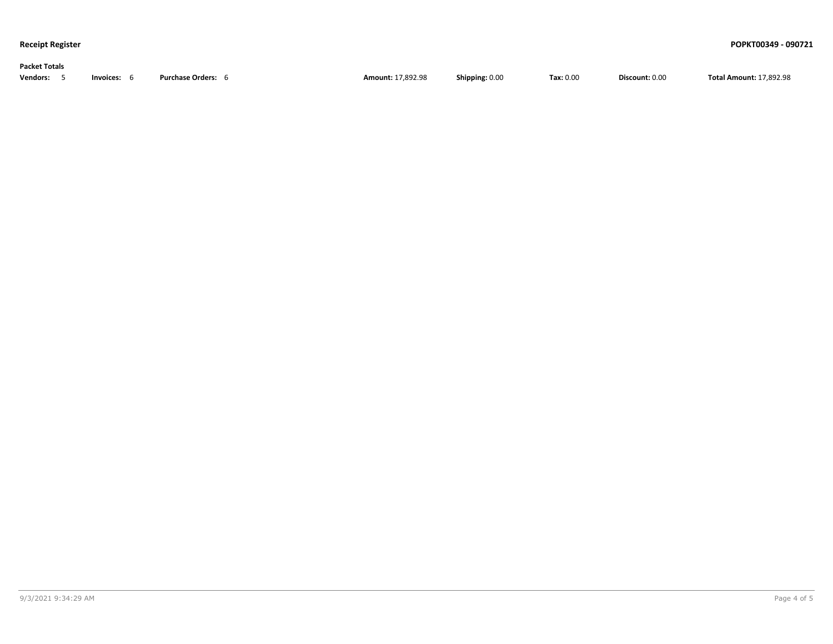### **Packet Totals**

| <b>Vendors:</b> | Invoices: | Purchase<br>:se Orders | Amount: 17.892.98 | Shipping: 0.00 | $\textsf{Tax: } 0.00$ | Discount: 0.00 | <b>Total Amount: 17.892.98</b> |
|-----------------|-----------|------------------------|-------------------|----------------|-----------------------|----------------|--------------------------------|
|-----------------|-----------|------------------------|-------------------|----------------|-----------------------|----------------|--------------------------------|